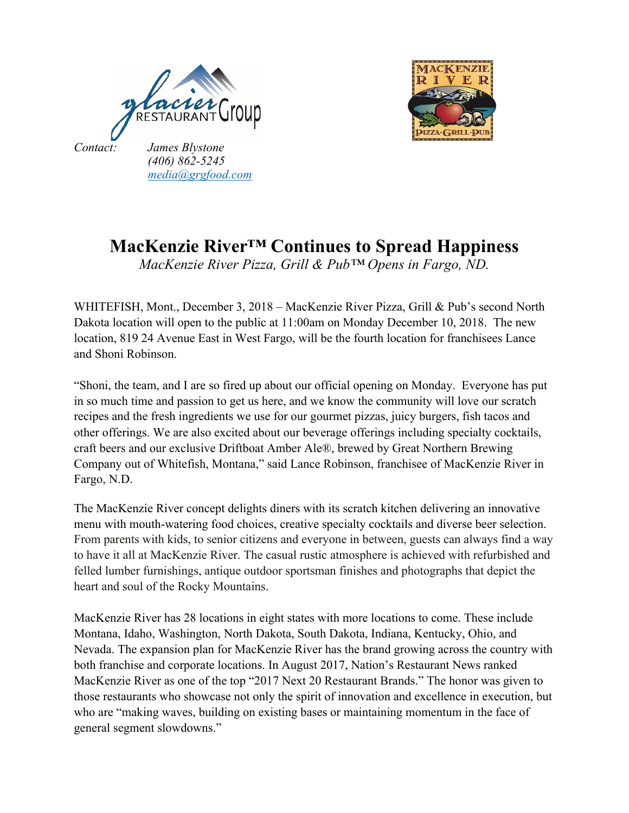



## **MacKenzie River™ Continues to Spread Happiness**

*MacKenzie River Pizza, Grill & Pub™ Opens in Fargo, ND.*

WHITEFISH, Mont., December 3, 2018 – MacKenzie River Pizza, Grill & Pub's second North Dakota location will open to the public at 11:00am on Monday December 10, 2018. The new location, 819 24 Avenue East in West Fargo, will be the fourth location for franchisees Lance and Shoni Robinson.

"Shoni, the team, and I are so fired up about our official opening on Monday. Everyone has put in so much time and passion to get us here, and we know the community will love our scratch recipes and the fresh ingredients we use for our gourmet pizzas, juicy burgers, fish tacos and other offerings. We are also excited about our beverage offerings including specialty cocktails, craft beers and our exclusive Driftboat Amber Ale®, brewed by Great Northern Brewing Company out of Whitefish, Montana," said Lance Robinson, franchisee of MacKenzie River in Fargo, N.D.

The MacKenzie River concept delights diners with its scratch kitchen delivering an innovative menu with mouth-watering food choices, creative specialty cocktails and diverse beer selection. From parents with kids, to senior citizens and everyone in between, guests can always find a way to have it all at MacKenzie River. The casual rustic atmosphere is achieved with refurbished and felled lumber furnishings, antique outdoor sportsman finishes and photographs that depict the heart and soul of the Rocky Mountains.

MacKenzie River has 28 locations in eight states with more locations to come. These include Montana, Idaho, Washington, North Dakota, South Dakota, Indiana, Kentucky, Ohio, and Nevada. The expansion plan for MacKenzie River has the brand growing across the country with both franchise and corporate locations. In August 2017, Nation's Restaurant News ranked MacKenzie River as one of the top "2017 Next 20 Restaurant Brands." The honor was given to those restaurants who showcase not only the spirit of innovation and excellence in execution, but who are "making waves, building on existing bases or maintaining momentum in the face of general segment slowdowns."